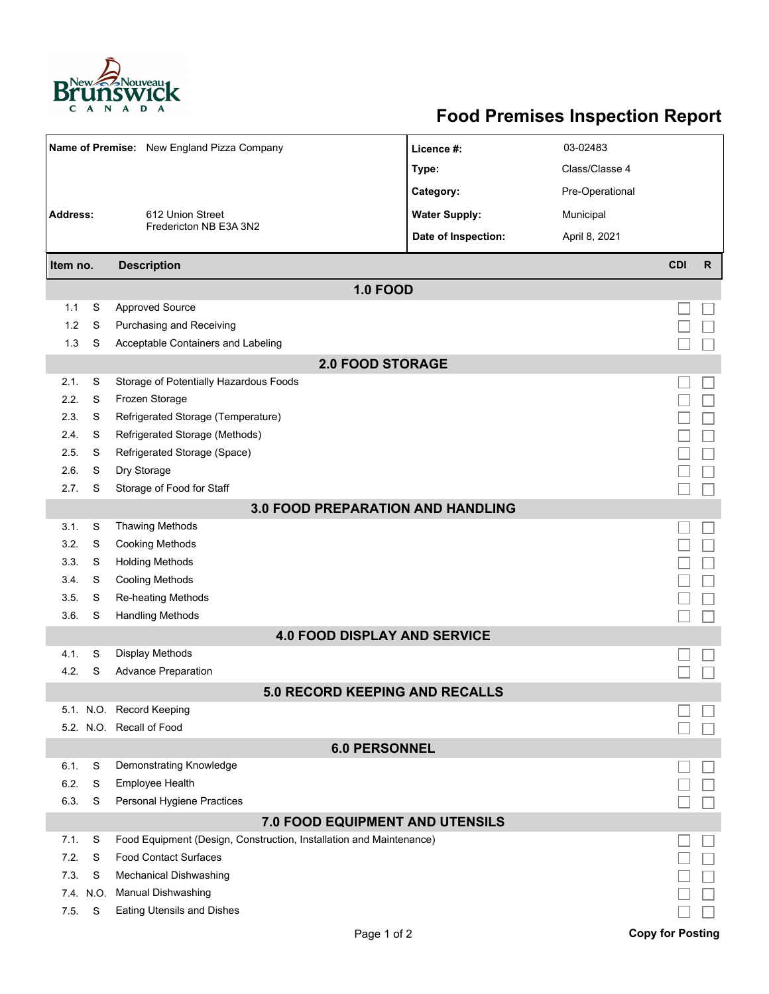

## **Food Premises Inspection Report**

| Name of Premise: New England Pizza Company                                                                     |                          |                                                      | Licence #:           | 03-02483        |                         |              |  |  |  |
|----------------------------------------------------------------------------------------------------------------|--------------------------|------------------------------------------------------|----------------------|-----------------|-------------------------|--------------|--|--|--|
|                                                                                                                |                          |                                                      | Type:                | Class/Classe 4  |                         |              |  |  |  |
|                                                                                                                |                          | 612 Union Street                                     | Category:            | Pre-Operational |                         |              |  |  |  |
| Address:                                                                                                       |                          |                                                      | <b>Water Supply:</b> | Municipal       |                         |              |  |  |  |
|                                                                                                                |                          | Fredericton NB E3A 3N2                               | Date of Inspection:  | April 8, 2021   |                         |              |  |  |  |
|                                                                                                                |                          |                                                      |                      |                 |                         |              |  |  |  |
| Item no.                                                                                                       |                          | <b>Description</b>                                   |                      |                 | <b>CDI</b>              | $\mathsf{R}$ |  |  |  |
|                                                                                                                |                          | <b>1.0 FOOD</b>                                      |                      |                 |                         |              |  |  |  |
| 1.1                                                                                                            | S                        | <b>Approved Source</b>                               |                      |                 |                         |              |  |  |  |
| 1.2                                                                                                            | S                        | Purchasing and Receiving                             |                      |                 |                         |              |  |  |  |
| 1.3                                                                                                            | S                        | Acceptable Containers and Labeling                   |                      |                 |                         |              |  |  |  |
| <b>2.0 FOOD STORAGE</b>                                                                                        |                          |                                                      |                      |                 |                         |              |  |  |  |
| 2.1.                                                                                                           | S                        | Storage of Potentially Hazardous Foods               |                      |                 |                         |              |  |  |  |
| 2.2.                                                                                                           | S                        | Frozen Storage                                       |                      |                 |                         |              |  |  |  |
| 2.3.                                                                                                           | S                        | Refrigerated Storage (Temperature)                   |                      |                 |                         |              |  |  |  |
| 2.4.                                                                                                           | S                        | Refrigerated Storage (Methods)                       |                      |                 |                         |              |  |  |  |
| 2.5.                                                                                                           | S                        | Refrigerated Storage (Space)                         |                      |                 |                         |              |  |  |  |
| 2.6.                                                                                                           | S                        | Dry Storage                                          |                      |                 |                         |              |  |  |  |
| 2.7.                                                                                                           | S                        | Storage of Food for Staff                            |                      |                 |                         |              |  |  |  |
| <b>3.0 FOOD PREPARATION AND HANDLING</b>                                                                       |                          |                                                      |                      |                 |                         |              |  |  |  |
| 3.1.                                                                                                           | S                        | <b>Thawing Methods</b>                               |                      |                 |                         |              |  |  |  |
| 3.2.                                                                                                           | S                        | <b>Cooking Methods</b>                               |                      |                 |                         |              |  |  |  |
| 3.3.                                                                                                           | S                        | <b>Holding Methods</b>                               |                      |                 |                         |              |  |  |  |
| 3.4.                                                                                                           | S                        | <b>Cooling Methods</b>                               |                      |                 |                         |              |  |  |  |
| 3.5.                                                                                                           | S                        | Re-heating Methods                                   |                      |                 |                         |              |  |  |  |
| 3.6.                                                                                                           | S                        | <b>Handling Methods</b>                              |                      |                 |                         |              |  |  |  |
| <b>4.0 FOOD DISPLAY AND SERVICE</b>                                                                            |                          |                                                      |                      |                 |                         |              |  |  |  |
| 4.1.                                                                                                           | S                        | <b>Display Methods</b>                               |                      |                 |                         |              |  |  |  |
| 4.2.                                                                                                           | S                        | <b>Advance Preparation</b>                           |                      |                 |                         |              |  |  |  |
| 5.0 RECORD KEEPING AND RECALLS                                                                                 |                          |                                                      |                      |                 |                         |              |  |  |  |
|                                                                                                                |                          | 5.1. N.O. Record Keeping                             |                      |                 |                         |              |  |  |  |
|                                                                                                                | 5.2. N.O. Recall of Food |                                                      |                      |                 |                         |              |  |  |  |
| <b>6.0 PERSONNEL</b>                                                                                           |                          |                                                      |                      |                 |                         |              |  |  |  |
| 6.1.                                                                                                           | S                        | Demonstrating Knowledge                              |                      |                 |                         |              |  |  |  |
| 6.2.<br>6.3.                                                                                                   | S<br>S                   | <b>Employee Health</b><br>Personal Hygiene Practices |                      |                 |                         |              |  |  |  |
|                                                                                                                |                          |                                                      |                      |                 |                         |              |  |  |  |
| 7.0 FOOD EQUIPMENT AND UTENSILS<br>7.1.<br>Food Equipment (Design, Construction, Installation and Maintenance) |                          |                                                      |                      |                 |                         |              |  |  |  |
| 7.2.                                                                                                           | S<br>S                   | <b>Food Contact Surfaces</b>                         |                      |                 |                         |              |  |  |  |
| 7.3.                                                                                                           | S                        | Mechanical Dishwashing                               |                      |                 |                         |              |  |  |  |
|                                                                                                                | 7.4. N.O.                | <b>Manual Dishwashing</b>                            |                      |                 |                         |              |  |  |  |
| 7.5.                                                                                                           | S                        | <b>Eating Utensils and Dishes</b>                    |                      |                 |                         |              |  |  |  |
|                                                                                                                |                          |                                                      |                      |                 |                         |              |  |  |  |
|                                                                                                                |                          | Page 1 of 2                                          |                      |                 | <b>Copy for Posting</b> |              |  |  |  |